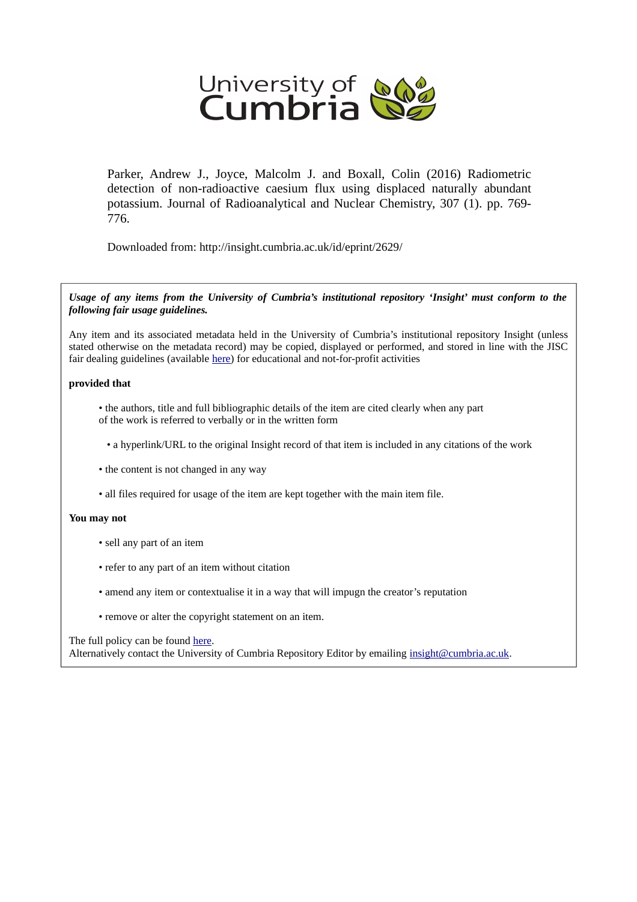

Parker, Andrew J., Joyce, Malcolm J. and Boxall, Colin (2016) Radiometric detection of non-radioactive caesium flux using displaced naturally abundant potassium. Journal of Radioanalytical and Nuclear Chemistry, 307 (1). pp. 769- 776.

Downloaded from: http://insight.cumbria.ac.uk/id/eprint/2629/

*Usage of any items from the University of Cumbria's institutional repository 'Insight' must conform to the following fair usage guidelines.*

Any item and its associated metadata held in the University of Cumbria's institutional repository Insight (unless stated otherwise on the metadata record) may be copied, displayed or performed, and stored in line with the JISC fair dealing guidelines (available [here\)](http://www.ukoln.ac.uk/services/elib/papers/pa/fair/) for educational and not-for-profit activities

#### **provided that**

• the authors, title and full bibliographic details of the item are cited clearly when any part of the work is referred to verbally or in the written form

• a hyperlink/URL to the original Insight record of that item is included in any citations of the work

- the content is not changed in any way
- all files required for usage of the item are kept together with the main item file.

#### **You may not**

- sell any part of an item
- refer to any part of an item without citation
- amend any item or contextualise it in a way that will impugn the creator's reputation
- remove or alter the copyright statement on an item.

#### The full policy can be found [here.](http://insight.cumbria.ac.uk/legal.html#section5)

Alternatively contact the University of Cumbria Repository Editor by emailing [insight@cumbria.ac.uk.](mailto:insight@cumbria.ac.uk)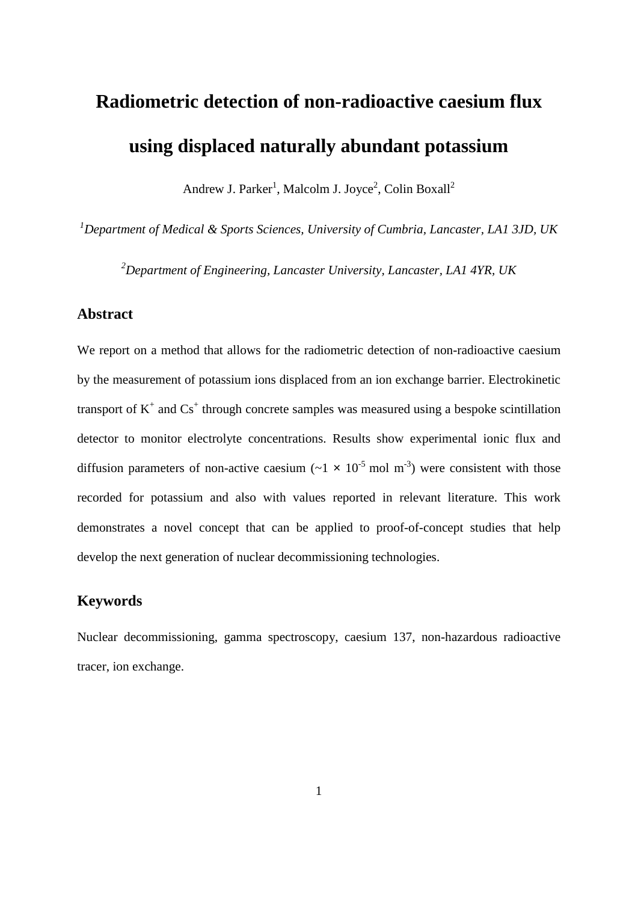# **Radiometric detection of non-radioactive caesium flux using displaced naturally abundant potassium**

Andrew J. Parker<sup>1</sup>, Malcolm J. Joyce<sup>2</sup>, Colin Boxall<sup>2</sup>

*1 Department of Medical & Sports Sciences, University of Cumbria, Lancaster, LA1 3JD, UK*

*2 Department of Engineering, Lancaster University, Lancaster, LA1 4YR, UK*

### **Abstract**

We report on a method that allows for the radiometric detection of non-radioactive caesium by the measurement of potassium ions displaced from an ion exchange barrier. Electrokinetic transport of  $K^+$  and  $Cs^+$  through concrete samples was measured using a bespoke scintillation detector to monitor electrolyte concentrations. Results show experimental ionic flux and diffusion parameters of non-active caesium  $({\sim}1 \times 10^{-5} \text{ mol m}^{-3})$  were consistent with those recorded for potassium and also with values reported in relevant literature. This work demonstrates a novel concept that can be applied to proof-of-concept studies that help develop the next generation of nuclear decommissioning technologies.

#### **Keywords**

Nuclear decommissioning, gamma spectroscopy, caesium 137, non-hazardous radioactive tracer, ion exchange.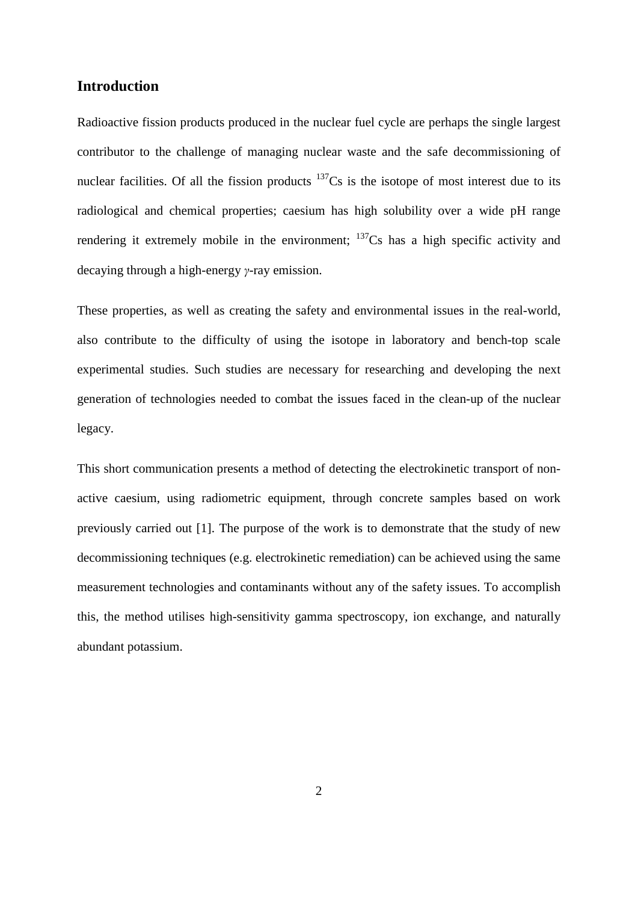### **Introduction**

Radioactive fission products produced in the nuclear fuel cycle are perhaps the single largest contributor to the challenge of managing nuclear waste and the safe decommissioning of nuclear facilities. Of all the fission products  $137Cs$  is the isotope of most interest due to its radiological and chemical properties; caesium has high solubility over a wide pH range rendering it extremely mobile in the environment; <sup>137</sup>Cs has a high specific activity and decaying through a high-energy *γ*-ray emission.

These properties, as well as creating the safety and environmental issues in the real-world, also contribute to the difficulty of using the isotope in laboratory and bench-top scale experimental studies. Such studies are necessary for researching and developing the next generation of technologies needed to combat the issues faced in the clean-up of the nuclear legacy.

This short communication presents a method of detecting the electrokinetic transport of nonactive caesium, using radiometric equipment, through concrete samples based on work previously carried out [1]. The purpose of the work is to demonstrate that the study of new decommissioning techniques (e.g. electrokinetic remediation) can be achieved using the same measurement technologies and contaminants without any of the safety issues. To accomplish this, the method utilises high-sensitivity gamma spectroscopy, ion exchange, and naturally abundant potassium.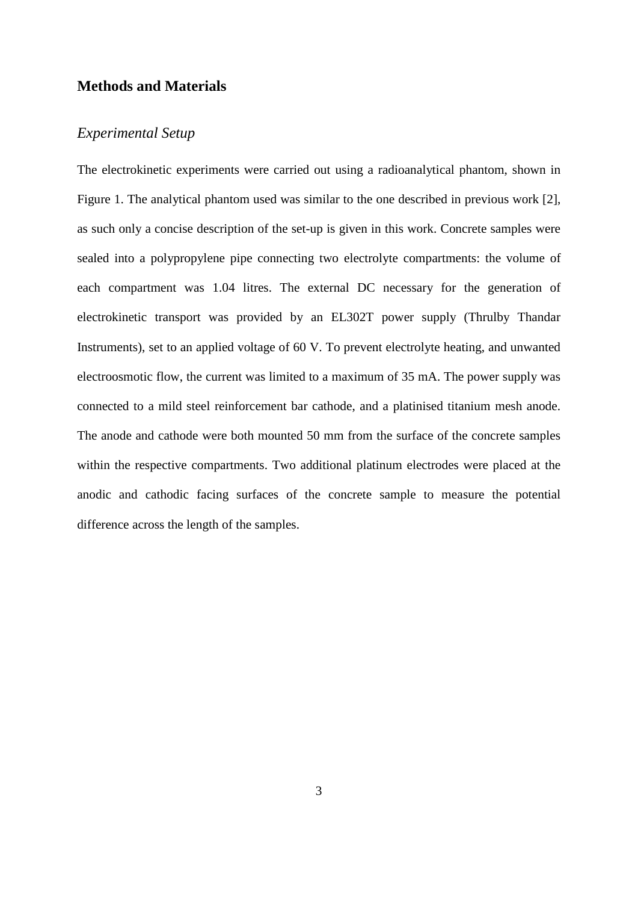#### **Methods and Materials**

### *Experimental Setup*

The electrokinetic experiments were carried out using a radioanalytical phantom, shown in Figure 1. The analytical phantom used was similar to the one described in previous work [2], as such only a concise description of the set-up is given in this work. Concrete samples were sealed into a polypropylene pipe connecting two electrolyte compartments: the volume of each compartment was 1.04 litres. The external DC necessary for the generation of electrokinetic transport was provided by an EL302T power supply (Thrulby Thandar Instruments), set to an applied voltage of 60 V. To prevent electrolyte heating, and unwanted electroosmotic flow, the current was limited to a maximum of 35 mA. The power supply was connected to a mild steel reinforcement bar cathode, and a platinised titanium mesh anode. The anode and cathode were both mounted 50 mm from the surface of the concrete samples within the respective compartments. Two additional platinum electrodes were placed at the anodic and cathodic facing surfaces of the concrete sample to measure the potential difference across the length of the samples.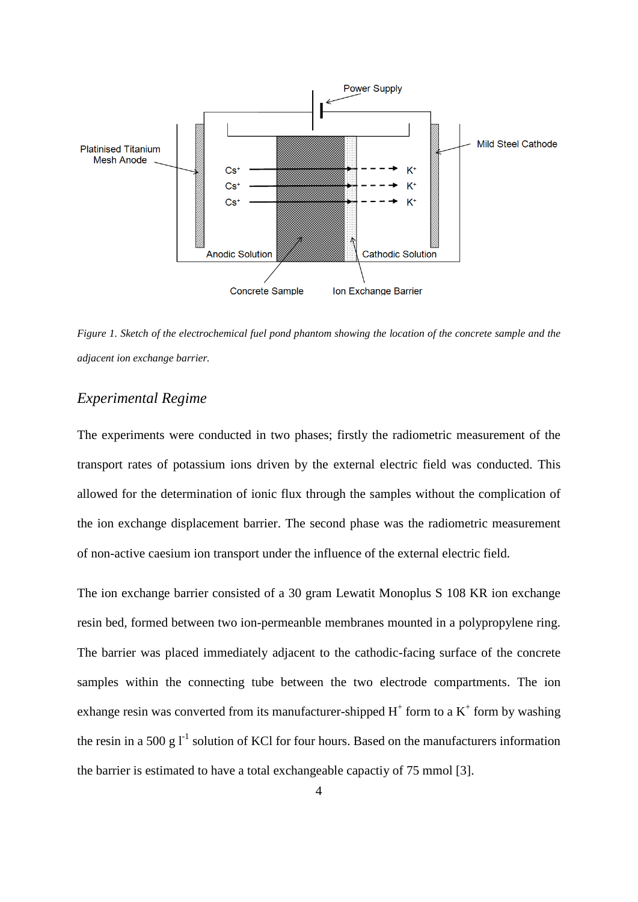

*Figure 1. Sketch of the electrochemical fuel pond phantom showing the location of the concrete sample and the adjacent ion exchange barrier.*

## *Experimental Regime*

The experiments were conducted in two phases; firstly the radiometric measurement of the transport rates of potassium ions driven by the external electric field was conducted. This allowed for the determination of ionic flux through the samples without the complication of the ion exchange displacement barrier. The second phase was the radiometric measurement of non-active caesium ion transport under the influence of the external electric field.

The ion exchange barrier consisted of a 30 gram Lewatit Monoplus S 108 KR ion exchange resin bed, formed between two ion-permeanble membranes mounted in a polypropylene ring. The barrier was placed immediately adjacent to the cathodic-facing surface of the concrete samples within the connecting tube between the two electrode compartments. The ion exhange resin was converted from its manufacturer-shipped  $H^+$  form to a  $K^+$  form by washing the resin in a 500 g  $I<sup>-1</sup>$  solution of KCl for four hours. Based on the manufacturers information the barrier is estimated to have a total exchangeable capactiy of 75 mmol [3].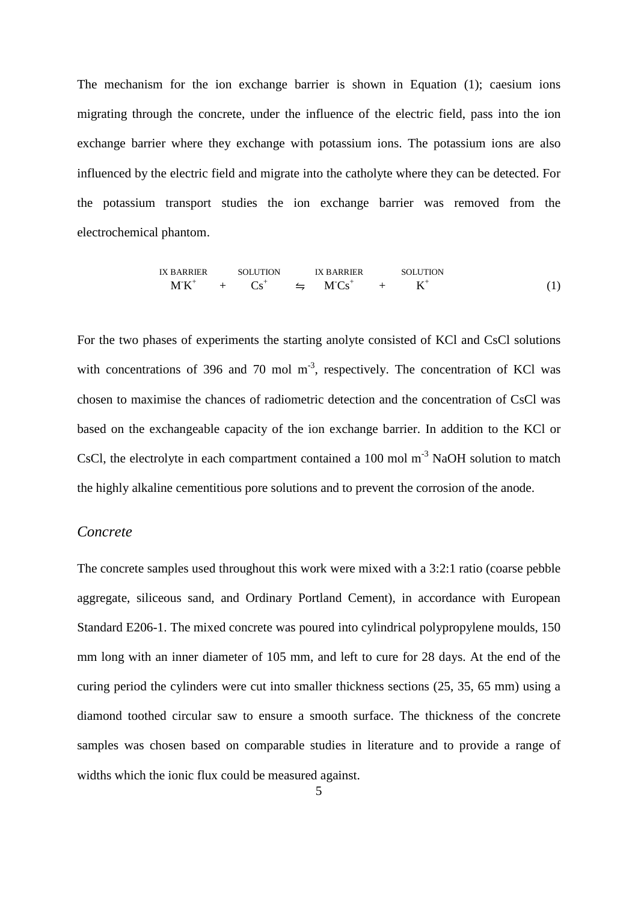The mechanism for the ion exchange barrier is shown in Equation [\(1\);](#page-5-0) caesium ions migrating through the concrete, under the influence of the electric field, pass into the ion exchange barrier where they exchange with potassium ions. The potassium ions are also influenced by the electric field and migrate into the catholyte where they can be detected. For the potassium transport studies the ion exchange barrier was removed from the electrochemical phantom.

<span id="page-5-0"></span>IX BARRIER SOLUTION IX BARRIER SOLUTION  
\n
$$
MK^{+} + Cs^{+} \Leftrightarrow MCs^{+} + K^{+}
$$
\n(1)

For the two phases of experiments the starting anolyte consisted of KCl and CsCl solutions with concentrations of 396 and 70 mol  $m<sup>-3</sup>$ , respectively. The concentration of KCl was chosen to maximise the chances of radiometric detection and the concentration of CsCl was based on the exchangeable capacity of the ion exchange barrier. In addition to the KCl or CsCl, the electrolyte in each compartment contained a  $100 \text{ mol m}^{-3}$  NaOH solution to match the highly alkaline cementitious pore solutions and to prevent the corrosion of the anode.

#### *Concrete*

The concrete samples used throughout this work were mixed with a 3:2:1 ratio (coarse pebble aggregate, siliceous sand, and Ordinary Portland Cement), in accordance with European Standard E206-1. The mixed concrete was poured into cylindrical polypropylene moulds, 150 mm long with an inner diameter of 105 mm, and left to cure for 28 days. At the end of the curing period the cylinders were cut into smaller thickness sections (25, 35, 65 mm) using a diamond toothed circular saw to ensure a smooth surface. The thickness of the concrete samples was chosen based on comparable studies in literature and to provide a range of widths which the ionic flux could be measured against.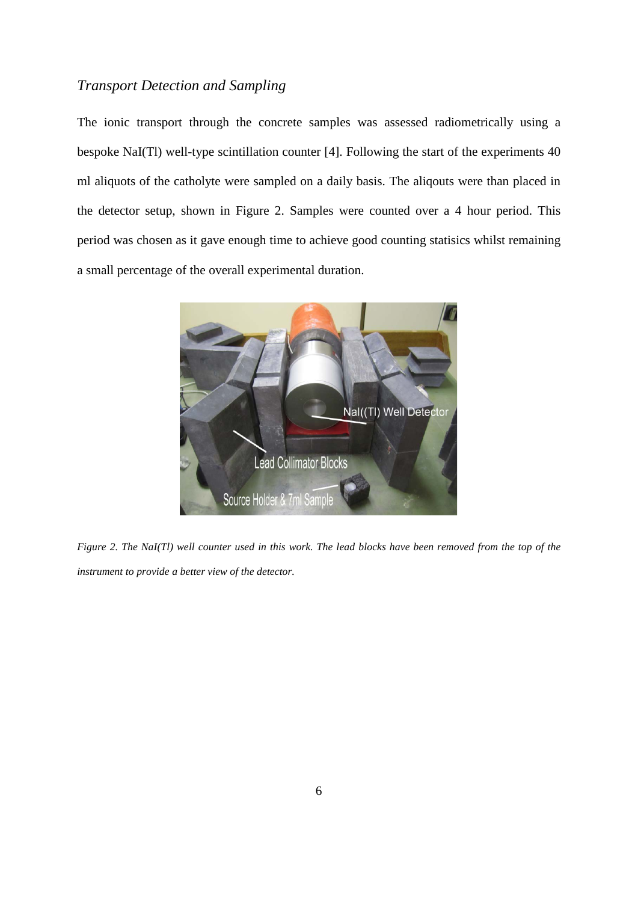# *Transport Detection and Sampling*

The ionic transport through the concrete samples was assessed radiometrically using a bespoke NaI(Tl) well-type scintillation counter [4]. Following the start of the experiments 40 ml aliquots of the catholyte were sampled on a daily basis. The aliqouts were than placed in the detector setup, shown in [Figure 2.](#page-6-0) Samples were counted over a 4 hour period. This period was chosen as it gave enough time to achieve good counting statisics whilst remaining a small percentage of the overall experimental duration.

<span id="page-6-0"></span>

*Figure 2. The NaI(Tl) well counter used in this work. The lead blocks have been removed from the top of the instrument to provide a better view of the detector.*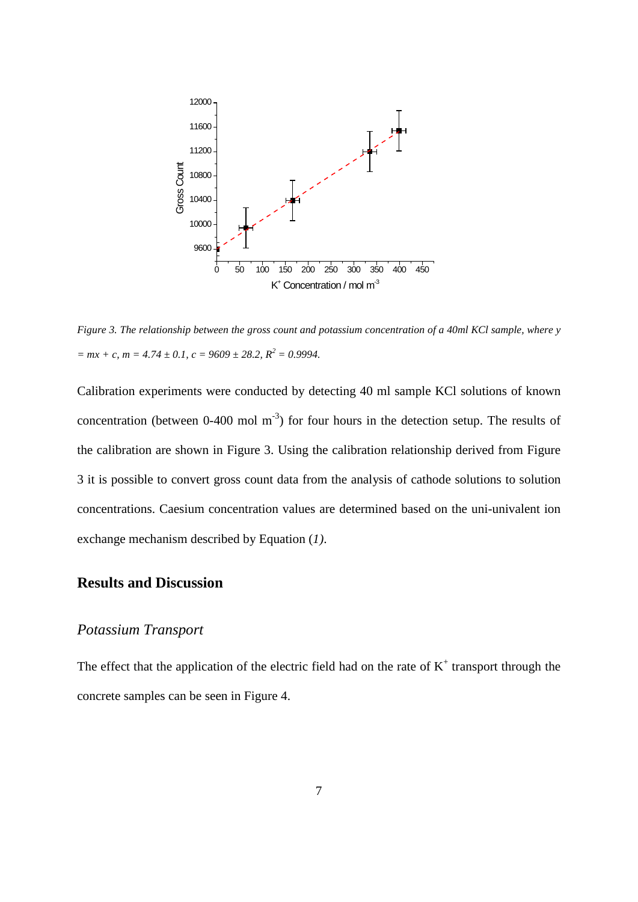

<span id="page-7-0"></span>*Figure 3. The relationship between the gross count and potassium concentration of a 40ml KCl sample, where y*   $= mx + c$ ,  $m = 4.74 \pm 0.1$ ,  $c = 9609 \pm 28.2$ ,  $R^2 = 0.9994$ .

Calibration experiments were conducted by detecting 40 ml sample KCl solutions of known concentration (between  $0-400$  mol m<sup>-3</sup>) for four hours in the detection setup. The results of the calibration are shown in [Figure 3.](#page-7-0) Using the calibration relationship derived from [Figure](#page-7-0)  [3](#page-7-0) it is possible to convert gross count data from the analysis of cathode solutions to solution concentrations. Caesium concentration values are determined based on the uni-univalent ion exchange mechanism described by Equation (*[1\)](#page-5-0)*.

# **Results and Discussion**

### *Potassium Transport*

The effect that the application of the electric field had on the rate of  $K^+$  transport through the concrete samples can be seen in [Figure 4.](#page-8-0)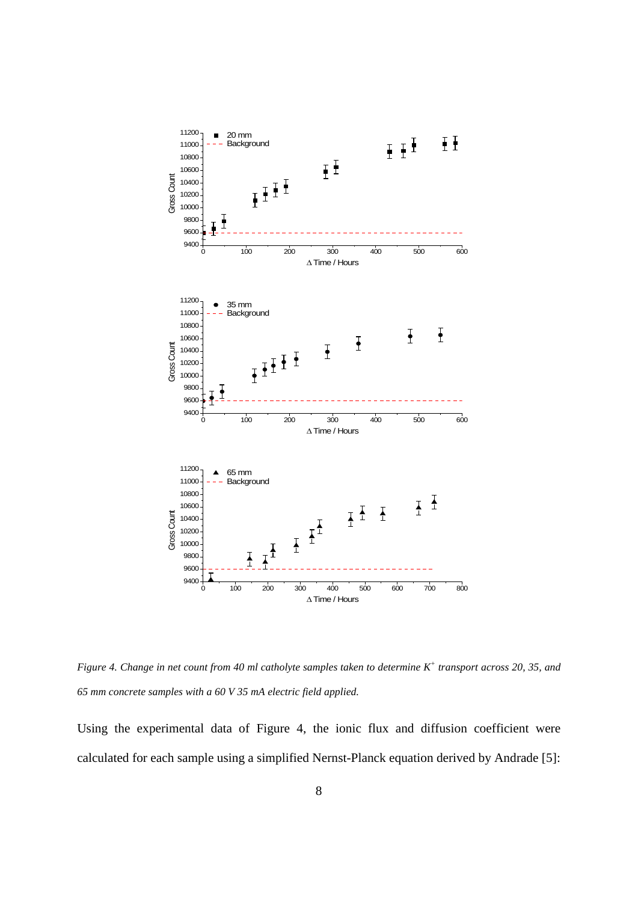

<span id="page-8-0"></span>*Figure 4. Change in net count from 40 ml catholyte samples taken to determine K+ transport across 20, 35, and 65 mm concrete samples with a 60 V 35 mA electric field applied.*

Using the experimental data of [Figure 4,](#page-8-0) the ionic flux and diffusion coefficient were calculated for each sample using a simplified Nernst-Planck equation derived by Andrade [5]: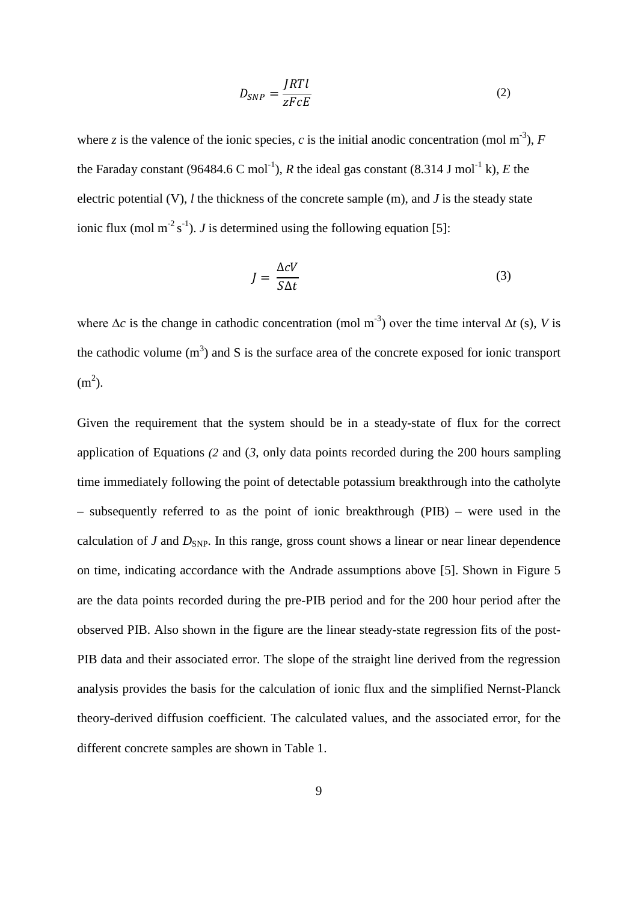<span id="page-9-0"></span>
$$
D_{SNP} = \frac{JRTl}{zFcE} \tag{2}
$$

where *z* is the valence of the ionic species, *c* is the initial anodic concentration (mol m<sup>-3</sup>), *F* the Faraday constant (96484.6 C mol<sup>-1</sup>), *R* the ideal gas constant (8.314 J mol<sup>-1</sup> k), *E* the electric potential (V), *l* the thickness of the concrete sample (m), and *J* is the steady state ionic flux (mol m<sup>-2</sup> s<sup>-1</sup>). *J* is determined using the following equation [5]:

<span id="page-9-1"></span>
$$
J = \frac{\Delta c V}{S \Delta t} \tag{3}
$$

where  $\Delta c$  is the change in cathodic concentration (mol m<sup>-3</sup>) over the time interval  $\Delta t$  (s), *V* is the cathodic volume  $(m<sup>3</sup>)$  and S is the surface area of the concrete exposed for ionic transport  $(m<sup>2</sup>)$ .

Given the requirement that the system should be in a steady-state of flux for the correct application of Equations *[\(2](#page-9-0)* and (*[3](#page-9-1)*, only data points recorded during the 200 hours sampling time immediately following the point of detectable potassium breakthrough into the catholyte – subsequently referred to as the point of ionic breakthrough (PIB) – were used in the calculation of *J* and  $D_{SNP}$ . In this range, gross count shows a linear or near linear dependence on time, indicating accordance with the Andrade assumptions above [5]. Shown in [Figure 5](#page-10-0) are the data points recorded during the pre-PIB period and for the 200 hour period after the observed PIB. Also shown in the figure are the linear steady-state regression fits of the post-PIB data and their associated error. The slope of the straight line derived from the regression analysis provides the basis for the calculation of ionic flux and the simplified Nernst-Planck theory-derived diffusion coefficient. The calculated values, and the associated error, for the different concrete samples are shown in [Table 1.](#page-11-0)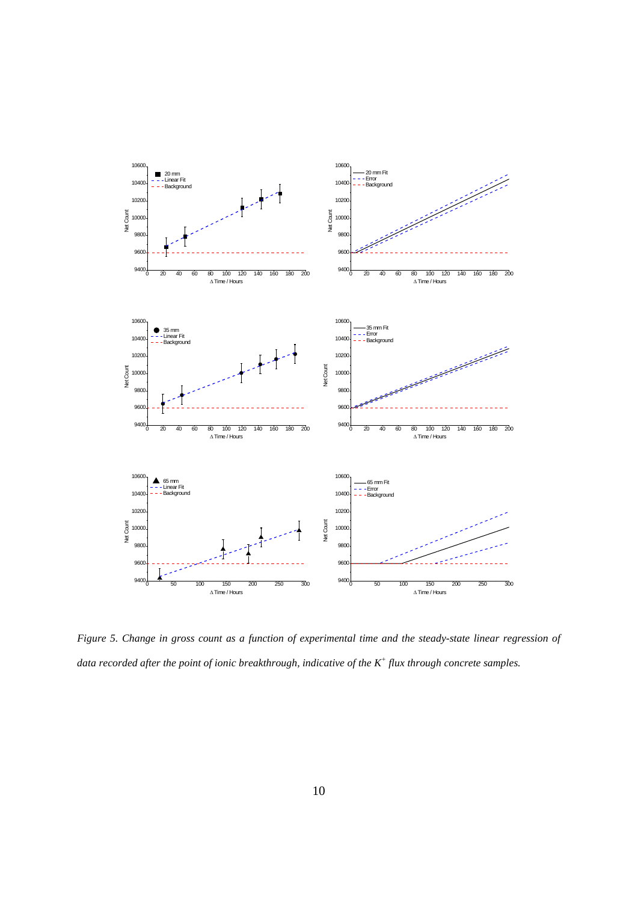

<span id="page-10-0"></span>*Figure 5. Change in gross count as a function of experimental time and the steady-state linear regression of data recorded after the point of ionic breakthrough, indicative of the K+ flux through concrete samples.*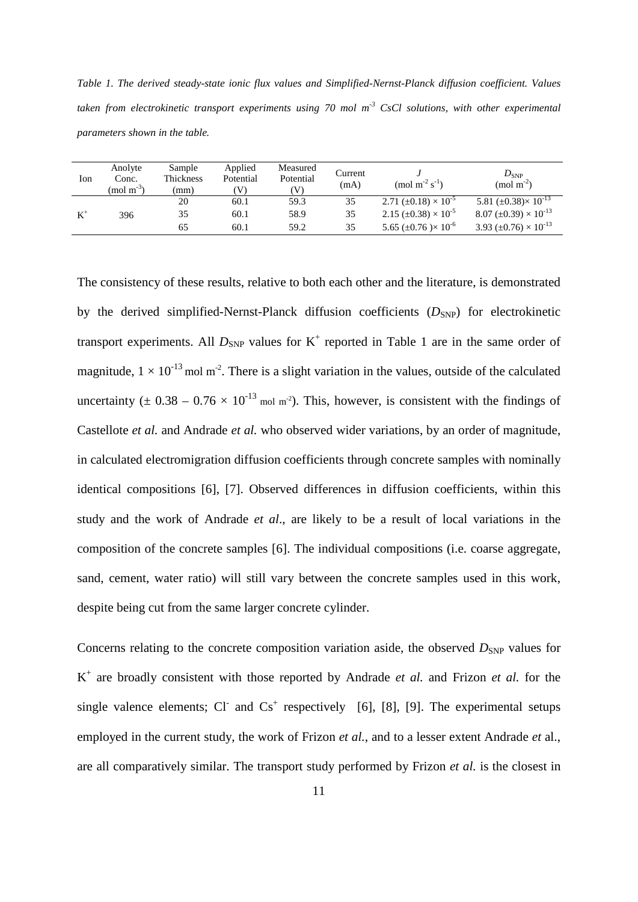<span id="page-11-0"></span>*Table 1. The derived steady-state ionic flux values and Simplified-Nernst-Planck diffusion coefficient. Values taken from electrokinetic transport experiments using 70 mol m-3 CsCl solutions, with other experimental parameters shown in the table.*

| Ion   | Anolyte<br>Conc.<br>$\pmod{m^{3}}$ | Sample<br>Thickness<br>(mm) | Applied<br>Potential<br>V) | Measured<br>Potential<br>(V) | Current<br>(mA) | (mol m <sup>-2</sup> s <sup>-1</sup> )       | $D_{SNP}$<br>$\pmod{m^2}$                     |
|-------|------------------------------------|-----------------------------|----------------------------|------------------------------|-----------------|----------------------------------------------|-----------------------------------------------|
| $K^+$ | 396                                | 20                          | 60.1                       | 59.3                         | 35              | 2.71 ( $\pm$ 0.18) $\times$ 10 <sup>-5</sup> | 5.81 $(\pm 0.38) \times 10^{-13}$             |
|       |                                    | 35                          | 60.1                       | 58.9                         | 35              | 2.15 ( $\pm$ 0.38) $\times$ 10 <sup>-5</sup> | 8.07 ( $\pm$ 0.39) $\times$ 10 <sup>-13</sup> |
|       |                                    | 65                          | 60.1                       | 59.2                         | 35              | 5.65 ( $\pm$ 0.76) $\times$ 10 <sup>-6</sup> | 3.93 ( $\pm$ 0.76) $\times$ 10 <sup>-13</sup> |

The consistency of these results, relative to both each other and the literature, is demonstrated by the derived simplified-Nernst-Planck diffusion coefficients  $(D_{SNP})$  for electrokinetic transport experiments. All  $D_{SNP}$  values for  $K^+$  reported in [Table 1](#page-11-0) are in the same order of magnitude,  $1 \times 10^{-13}$  mol m<sup>-2</sup>. There is a slight variation in the values, outside of the calculated uncertainty ( $\pm$  0.38 – 0.76  $\times$  10<sup>-13</sup> mol m<sup>-2</sup>). This, however, is consistent with the findings of Castellote *et al.* and Andrade *et al.* who observed wider variations, by an order of magnitude, in calculated electromigration diffusion coefficients through concrete samples with nominally identical compositions [6], [7]. Observed differences in diffusion coefficients, within this study and the work of Andrade *et al*., are likely to be a result of local variations in the composition of the concrete samples [6]. The individual compositions (i.e. coarse aggregate, sand, cement, water ratio) will still vary between the concrete samples used in this work, despite being cut from the same larger concrete cylinder.

Concerns relating to the concrete composition variation aside, the observed  $D_{SNP}$  values for K+ are broadly consistent with those reported by Andrade *et al.* and Frizon *et al.* for the single valence elements; Cl<sup>-</sup> and Cs<sup>+</sup> respectively [6], [8], [9]. The experimental setups employed in the current study, the work of Frizon *et al.*, and to a lesser extent Andrade *et* al., are all comparatively similar. The transport study performed by Frizon *et al.* is the closest in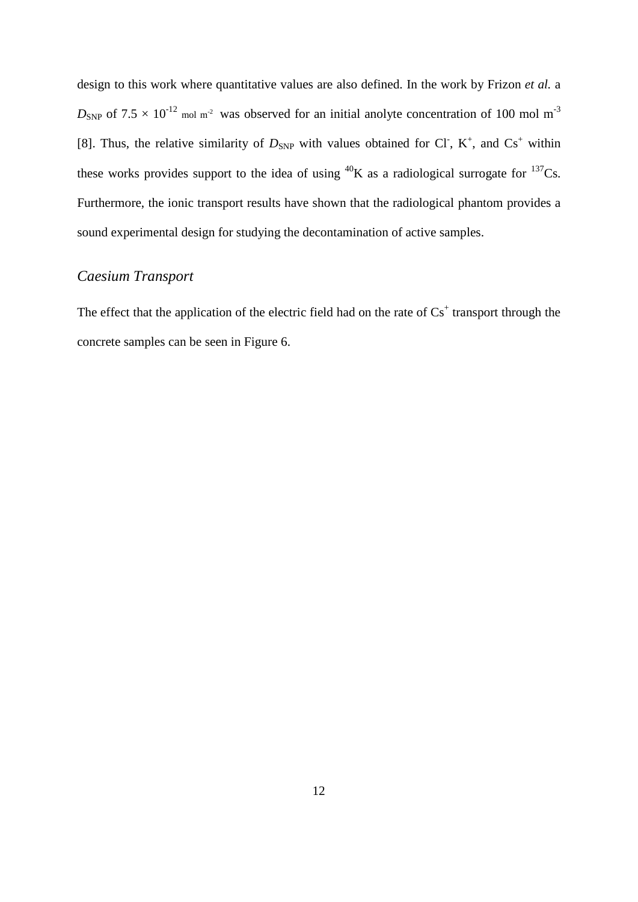design to this work where quantitative values are also defined. In the work by Frizon *et al.* a  $D_{SNP}$  of 7.5  $\times$  10<sup>-12</sup> mol m<sup>-2</sup> was observed for an initial anolyte concentration of 100 mol m<sup>-3</sup> [8]. Thus, the relative similarity of  $D_{SNP}$  with values obtained for CI, K<sup>+</sup>, and Cs<sup>+</sup> within these works provides support to the idea of using  ${}^{40}K$  as a radiological surrogate for  ${}^{137}Cs$ . Furthermore, the ionic transport results have shown that the radiological phantom provides a sound experimental design for studying the decontamination of active samples.

# *Caesium Transport*

The effect that the application of the electric field had on the rate of  $Cs<sup>+</sup>$  transport through the concrete samples can be seen in [Figure 6.](#page-13-0)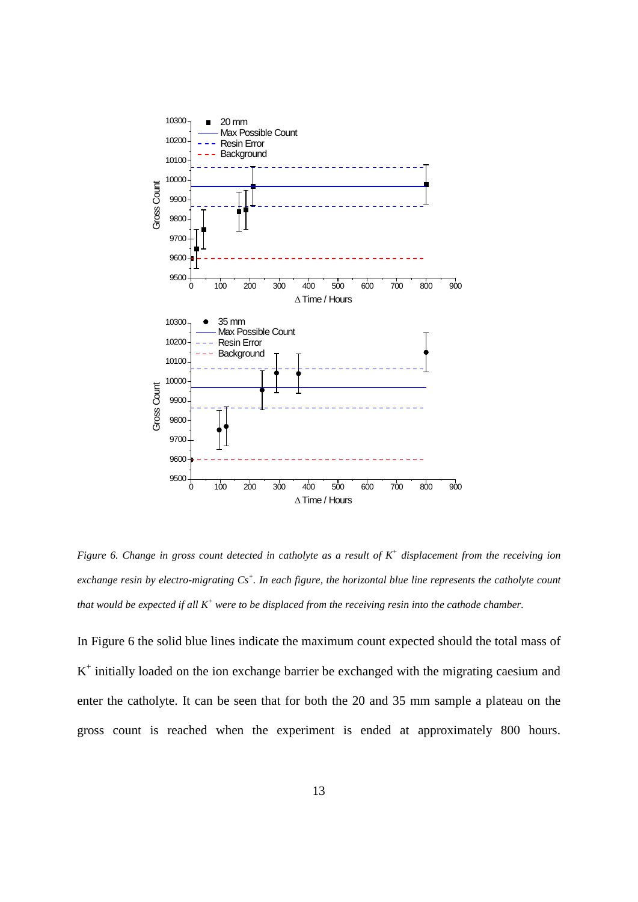

<span id="page-13-0"></span>*Figure 6. Change in gross count detected in catholyte as a result of K+ displacement from the receiving ion exchange resin by electro-migrating Cs+ . In each figure, the horizontal blue line represents the catholyte count that would be expected if all K+ were to be displaced from the receiving resin into the cathode chamber.* 

In [Figure 6](#page-13-0) the solid blue lines indicate the maximum count expected should the total mass of  $K^+$  initially loaded on the ion exchange barrier be exchanged with the migrating caesium and enter the catholyte. It can be seen that for both the 20 and 35 mm sample a plateau on the gross count is reached when the experiment is ended at approximately 800 hours.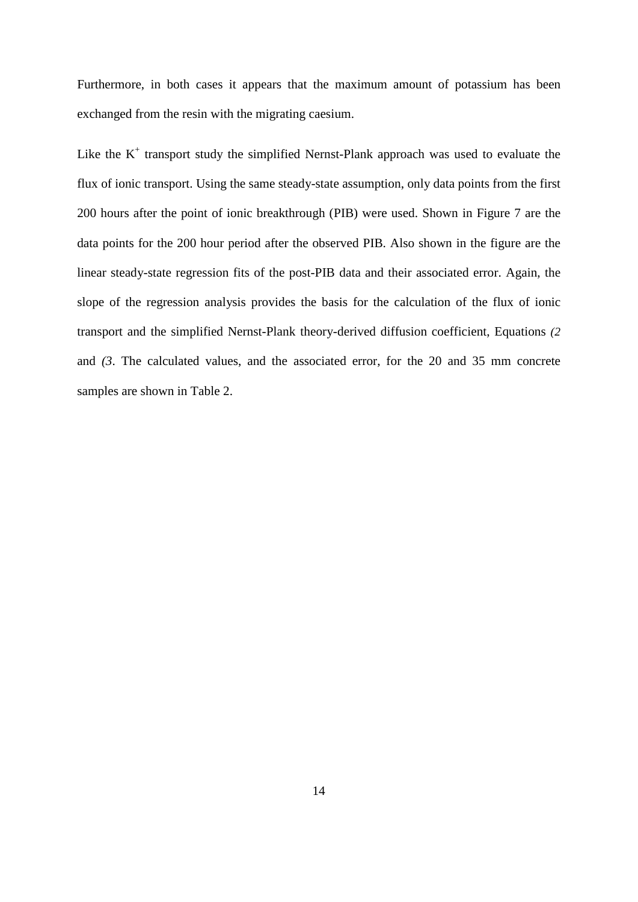Furthermore, in both cases it appears that the maximum amount of potassium has been exchanged from the resin with the migrating caesium.

Like the  $K^+$  transport study the simplified Nernst-Plank approach was used to evaluate the flux of ionic transport. Using the same steady-state assumption, only data points from the first 200 hours after the point of ionic breakthrough (PIB) were used. Shown in [Figure 7](#page-15-0) are the data points for the 200 hour period after the observed PIB. Also shown in the figure are the linear steady-state regression fits of the post-PIB data and their associated error. Again, the slope of the regression analysis provides the basis for the calculation of the flux of ionic transport and the simplified Nernst-Plank theory-derived diffusion coefficient, Equations *[\(2](#page-9-0)* and *[\(3](#page-9-1)*. The calculated values, and the associated error, for the 20 and 35 mm concrete samples are shown in [Table 2.](#page-16-0)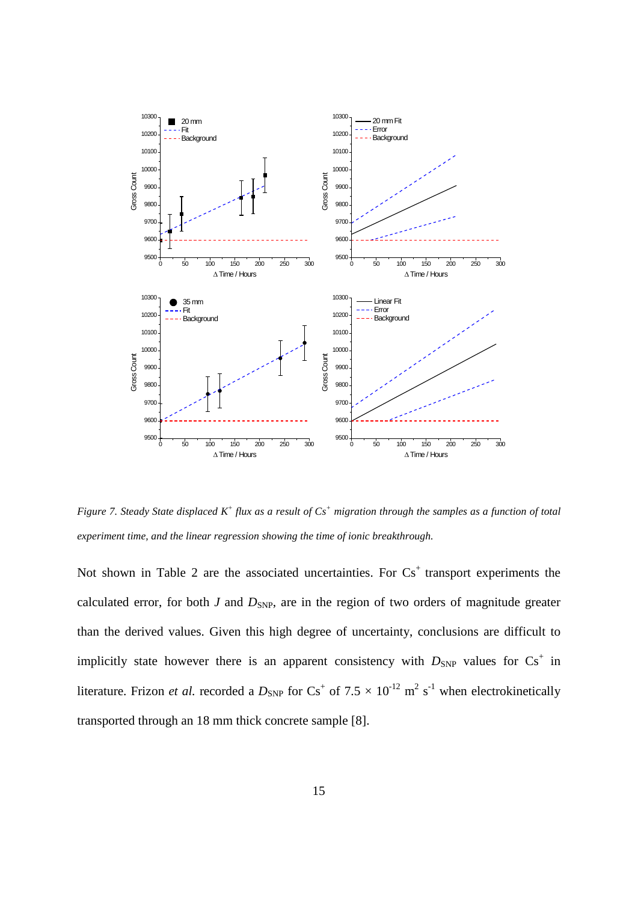

<span id="page-15-0"></span>*Figure 7. Steady State displaced K+ flux as a result of Cs+ migration through the samples as a function of total experiment time, and the linear regression showing the time of ionic breakthrough.*

Not shown in [Table 2](#page-16-0) are the associated uncertainties. For  $Cs<sup>+</sup>$  transport experiments the calculated error, for both  $J$  and  $D_{SNP}$ , are in the region of two orders of magnitude greater than the derived values. Given this high degree of uncertainty, conclusions are difficult to implicitly state however there is an apparent consistency with  $D_{SNP}$  values for  $Cs^+$  in literature. Frizon *et al.* recorded a  $D_{SNP}$  for  $Cs^+$  of 7.5  $\times$  10<sup>-12</sup> m<sup>2</sup> s<sup>-1</sup> when electrokinetically transported through an 18 mm thick concrete sample [8].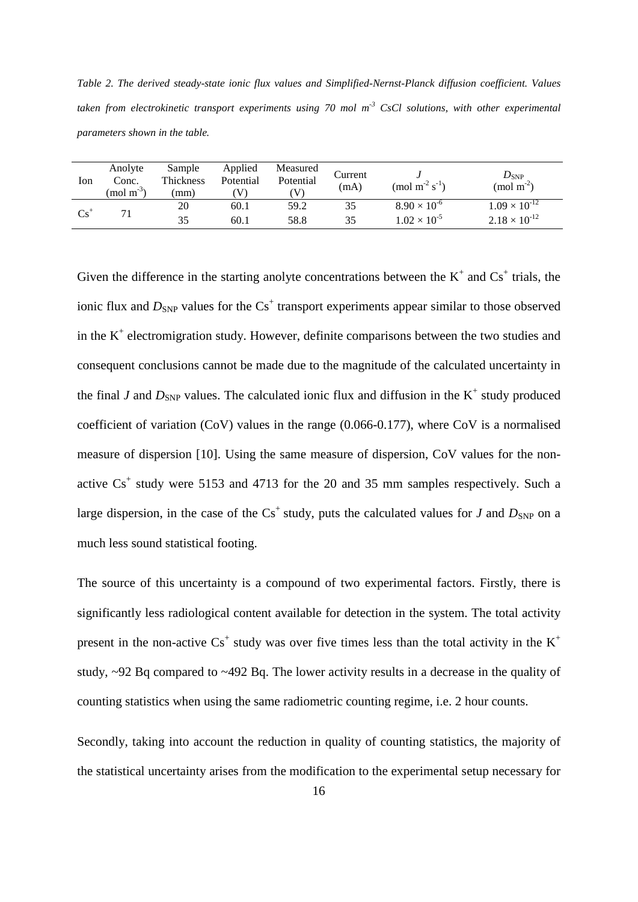<span id="page-16-0"></span>*Table 2. The derived steady-state ionic flux values and Simplified-Nernst-Planck diffusion coefficient. Values taken from electrokinetic transport experiments using 70 mol m-3 CsCl solutions, with other experimental parameters shown in the table.*

| Ion           | Anolyte<br>Conc.<br>$(mod m-3)$ | Sample<br>Thickness<br>(mm) | Applied<br>Potential<br>V | Measured<br>Potential<br>V | Current<br>(mA) | (mol m <sup>-2</sup> s <sup>-1</sup> ) | $D_{\text{SNP}}$<br>(mol m <sup>-2</sup> ) |
|---------------|---------------------------------|-----------------------------|---------------------------|----------------------------|-----------------|----------------------------------------|--------------------------------------------|
| $\text{Cs}^+$ |                                 | 20                          | 60.1                      | 59.2                       | 35              | $8.90 \times 10^{-6}$                  | $1.09 \times 10^{-12}$                     |
|               |                                 | 35                          | 60.1                      | 58.8                       | 35              | $1.02 \times 10^{-5}$                  | $2.18 \times 10^{-12}$                     |

Given the difference in the starting anolyte concentrations between the  $K^+$  and  $Cs^+$  trials, the ionic flux and  $D_{SNP}$  values for the  $Cs<sup>+</sup>$  transport experiments appear similar to those observed in the  $K^+$  electromigration study. However, definite comparisons between the two studies and consequent conclusions cannot be made due to the magnitude of the calculated uncertainty in the final *J* and  $D_{SNP}$  values. The calculated ionic flux and diffusion in the K<sup>+</sup> study produced coefficient of variation (CoV) values in the range (0.066-0.177), where CoV is a normalised measure of dispersion [10]. Using the same measure of dispersion, CoV values for the nonactive  $Cs<sup>+</sup>$  study were 5153 and 4713 for the 20 and 35 mm samples respectively. Such a large dispersion, in the case of the  $Cs^+$  study, puts the calculated values for *J* and  $D_{SNP}$  on a much less sound statistical footing.

The source of this uncertainty is a compound of two experimental factors. Firstly, there is significantly less radiological content available for detection in the system. The total activity present in the non-active  $Cs<sup>+</sup>$  study was over five times less than the total activity in the  $K<sup>+</sup>$ study, ~92 Bq compared to ~492 Bq. The lower activity results in a decrease in the quality of counting statistics when using the same radiometric counting regime, i.e. 2 hour counts.

Secondly, taking into account the reduction in quality of counting statistics, the majority of the statistical uncertainty arises from the modification to the experimental setup necessary for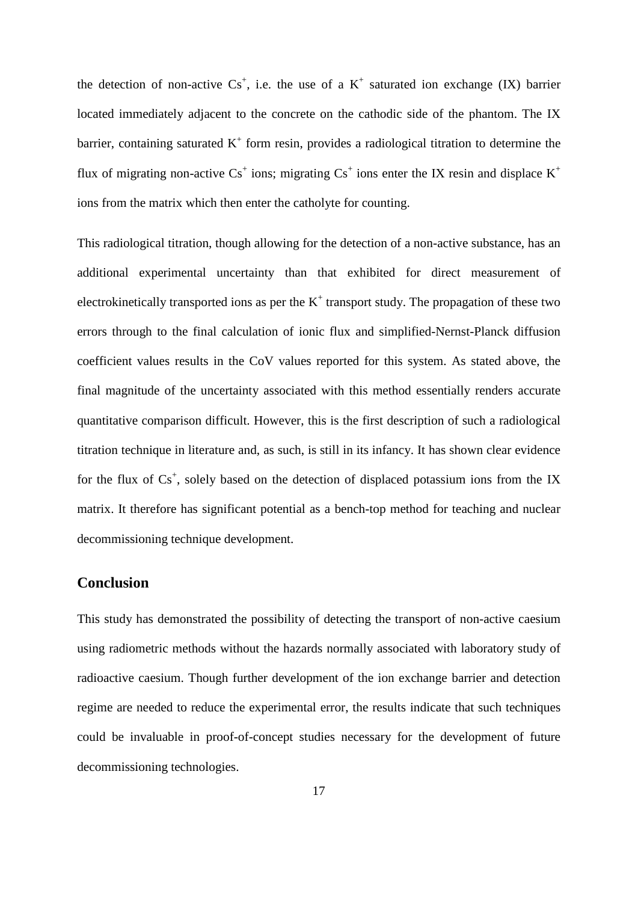the detection of non-active  $Cs^+$ , i.e. the use of a  $K^+$  saturated ion exchange (IX) barrier located immediately adjacent to the concrete on the cathodic side of the phantom. The IX barrier, containing saturated  $K^+$  form resin, provides a radiological titration to determine the flux of migrating non-active  $Cs^+$  ions; migrating  $Cs^+$  ions enter the IX resin and displace  $K^+$ ions from the matrix which then enter the catholyte for counting.

This radiological titration, though allowing for the detection of a non-active substance, has an additional experimental uncertainty than that exhibited for direct measurement of electrokinetically transported ions as per the  $K^+$  transport study. The propagation of these two errors through to the final calculation of ionic flux and simplified-Nernst-Planck diffusion coefficient values results in the CoV values reported for this system. As stated above, the final magnitude of the uncertainty associated with this method essentially renders accurate quantitative comparison difficult. However, this is the first description of such a radiological titration technique in literature and, as such, is still in its infancy. It has shown clear evidence for the flux of  $Cs^+$ , solely based on the detection of displaced potassium ions from the IX matrix. It therefore has significant potential as a bench-top method for teaching and nuclear decommissioning technique development.

## **Conclusion**

This study has demonstrated the possibility of detecting the transport of non-active caesium using radiometric methods without the hazards normally associated with laboratory study of radioactive caesium. Though further development of the ion exchange barrier and detection regime are needed to reduce the experimental error, the results indicate that such techniques could be invaluable in proof-of-concept studies necessary for the development of future decommissioning technologies.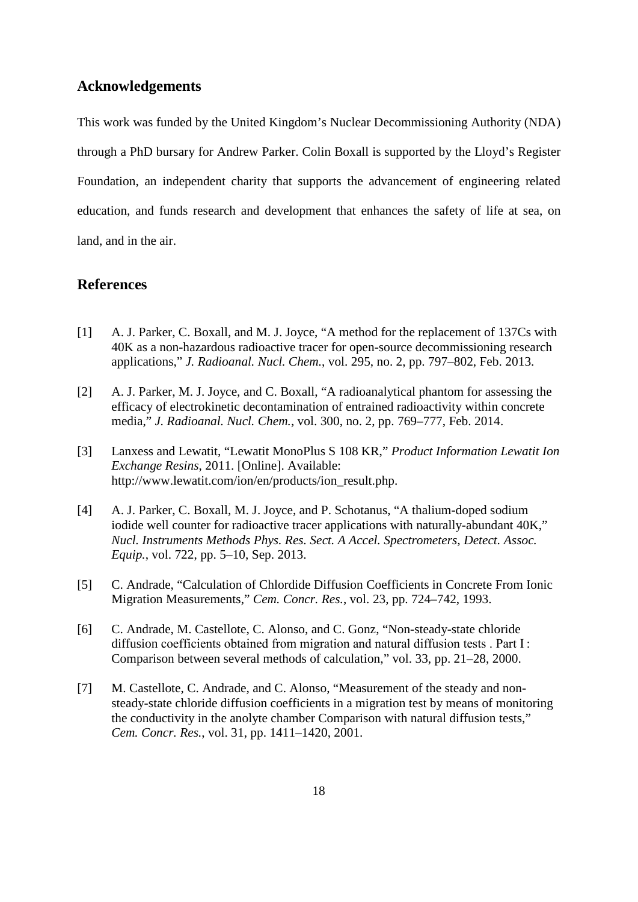#### **Acknowledgements**

This work was funded by the United Kingdom's Nuclear Decommissioning Authority (NDA) through a PhD bursary for Andrew Parker. Colin Boxall is supported by the Lloyd's Register Foundation, an independent charity that supports the advancement of engineering related education, and funds research and development that enhances the safety of life at sea, on land, and in the air.

### **References**

- [1] A. J. Parker, C. Boxall, and M. J. Joyce, "A method for the replacement of 137Cs with 40K as a non-hazardous radioactive tracer for open-source decommissioning research applications," *J. Radioanal. Nucl. Chem.*, vol. 295, no. 2, pp. 797–802, Feb. 2013.
- [2] A. J. Parker, M. J. Joyce, and C. Boxall, "A radioanalytical phantom for assessing the efficacy of electrokinetic decontamination of entrained radioactivity within concrete media," *J. Radioanal. Nucl. Chem.*, vol. 300, no. 2, pp. 769–777, Feb. 2014.
- [3] Lanxess and Lewatit, "Lewatit MonoPlus S 108 KR," *Product Information Lewatit Ion Exchange Resins*, 2011. [Online]. Available: http://www.lewatit.com/ion/en/products/ion\_result.php.
- [4] A. J. Parker, C. Boxall, M. J. Joyce, and P. Schotanus, "A thalium-doped sodium iodide well counter for radioactive tracer applications with naturally-abundant 40K," *Nucl. Instruments Methods Phys. Res. Sect. A Accel. Spectrometers, Detect. Assoc. Equip.*, vol. 722, pp. 5–10, Sep. 2013.
- [5] C. Andrade, "Calculation of Chlordide Diffusion Coefficients in Concrete From Ionic Migration Measurements," *Cem. Concr. Res.*, vol. 23, pp. 724–742, 1993.
- [6] C. Andrade, M. Castellote, C. Alonso, and C. Gonz, "Non-steady-state chloride diffusion coefficients obtained from migration and natural diffusion tests . Part I : Comparison between several methods of calculation," vol. 33, pp. 21–28, 2000.
- [7] M. Castellote, C. Andrade, and C. Alonso, "Measurement of the steady and nonsteady-state chloride diffusion coefficients in a migration test by means of monitoring the conductivity in the anolyte chamber Comparison with natural diffusion tests," *Cem. Concr. Res.*, vol. 31, pp. 1411–1420, 2001.